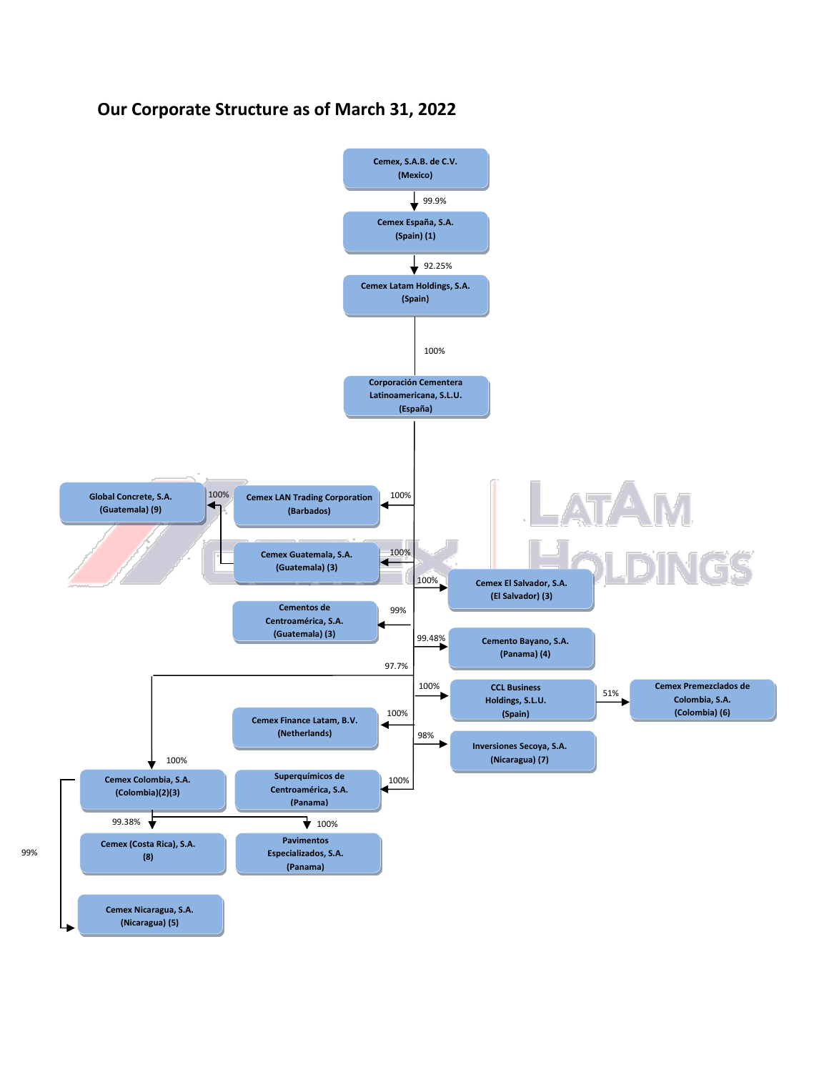## **Our Corporate Structure as of March 31, 2022**